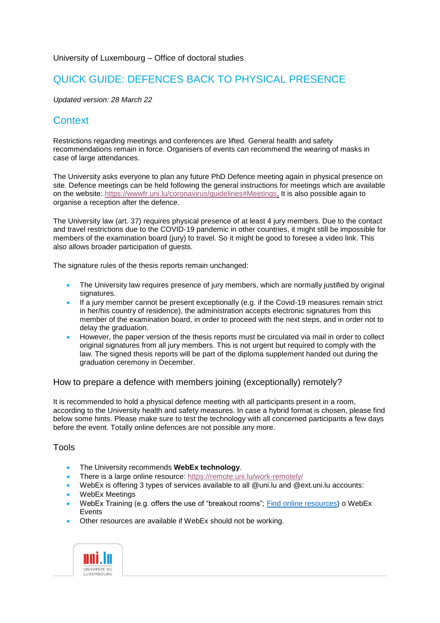#### University of Luxembourg – Office of doctoral studies

## QUICK GUIDE: DEFENCES BACK TO PHYSICAL PRESENCE

*Updated version: 28 March 22*

# **Context**

Restrictions regarding meetings and conferences are lifted. General health and safety recommendations remain in force. Organisers of events can recommend the wearing of masks in case of large attendances.

The University asks everyone to plan any future PhD Defence meeting again in physical presence on site. Defence meetings can be held following the general instructions for meetings which are available on the website: [https://wwwfr.uni.lu/coronavirus/guidelines#Meetings.](https://wwwfr.uni.lu/coronavirus/guidelines#Meetings) It is also possible again to organise a reception after the defence.

The University law (art. 37) requires physical presence of at least 4 jury members. Due to the contact and travel restrictions due to the COVID-19 pandemic in other countries, it might still be impossible for members of the examination board (jury) to travel. So it might be good to foresee a video link. This also allows broader participation of guests.

The signature rules of the thesis reports remain unchanged:

- The University law requires presence of jury members, which are normally justified by original signatures.
- If a jury member cannot be present exceptionally (e.g. if the Covid-19 measures remain strict in her/his country of residence), the administration accepts electronic signatures from this member of the examination board, in order to proceed with the next steps, and in order not to delay the graduation.
- However, the paper version of the thesis reports must be circulated via mail in order to collect original signatures from all jury members. This is not urgent but required to comply with the law. The signed thesis reports will be part of the diploma supplement handed out during the graduation ceremony in December.

How to prepare a defence with members joining (exceptionally) remotely?

It is recommended to hold a physical defence meeting with all participants present in a room, according to the University health and safety measures. In case a hybrid format is chosen, please find below some hints. Please make sure to test the technology with all concerned participants a few days before the event. Totally online defences are not possible any more.

### Tools

- The University recommends **WebEx technology**.
- There is a large online resource:<https://remote.uni.lu/work-remotely/>
- WebEx is offering 3 types of services available to all @uni.lu and @ext.uni.lu accounts:
- WebEx Meetings
- WebEx Training (e.g. offers the use of "breakout rooms"; [Find online resources\)](https://remote.uni.lu/teach-remotely/) o WebEx Events
- Other resources are available if WebEx should not be working.